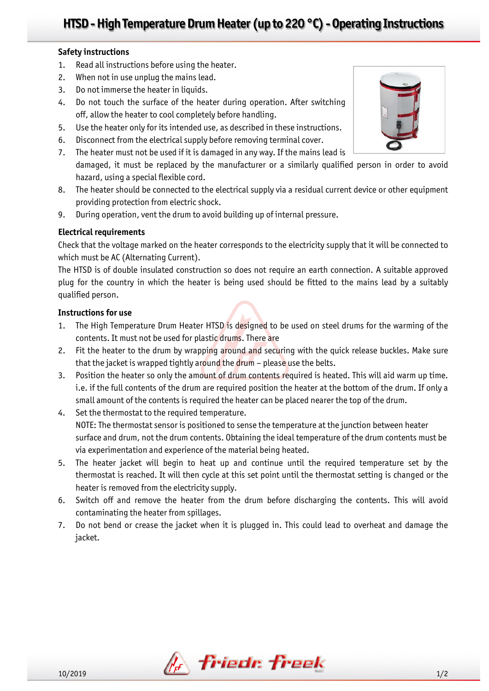## **Safety instructions**

- 1. Read all instructions before using the heater.
- 2. When not in use unplug the mains lead.
- 3. Do not immerse the heater in liquids.
- 4. Do not touch the surface of the heater during operation. After switching off, allow the heater to cool completely before handling.
- 5. Use the heater only for its intended use, as described in these instructions.
- 6. Disconnect from the electrical supply before removing terminal cover.
- 7. The heater must not be used if it is damaged in any way. If the mains lead is damaged, it must be replaced by the manufacturer or a similarly qualified person in order to avoid hazard, using a special flexible cord.
- 8. The heater should be connected to the electrical supply via a residual current device or other equipment providing protection from electric shock.
- 9. During operation, vent the drum to avoid building up of internal pressure.

## **Electrical requirements**

Check that the voltage marked on the heater corresponds to the electricity supply that it will be connected to which must be AC (Alternating Current).

The HTSD is of double insulated construction so does not require an earth connection. A suitable approved plug for the country in which the heater is being used should be fitted to the mains lead by a suitably qualified person.

### **Instructions for use**

- 1. The High Temperature Drum Heater HTSD is designed to be used on steel drums for the warming of the contents. It must not be used for plastic drums. There are
- 2. Fit the heater to the drum by wrapping around and securing with the quick release buckles. Make sure that the jacket is wrapped tightly around the drum - please use the belts.
- 3. Position the heater so only the amount of drum contents required is heated. This will aid warm up time. i.e. if the full contents of the drum are required position the heater at the bottom of the drum. If only a small amount of the contents is required the heater can be placed nearer the top of the drum.
- 4. Set the thermostat to the required temperature. NOTE: The thermostat sensor is positioned to sense the temperature at the junction between heater surface and drum, not the drum contents. Obtaining the ideal temperature of the drum contents must be via experimentation and experience of the material being heated.
- 5. The heater jacket will begin to heat up and continue until the required temperature set by the thermostat is reached. It will then cycle at this set point until the thermostat setting is changed or the heater is removed from the electricity supply.
- 6. Switch off and remove the heater from the drum before discharging the contents. This will avoid contaminating the heater from spillages.
- 7. Do not bend or crease the jacket when it is plugged in. This could lead to overheat and damage the jacket.